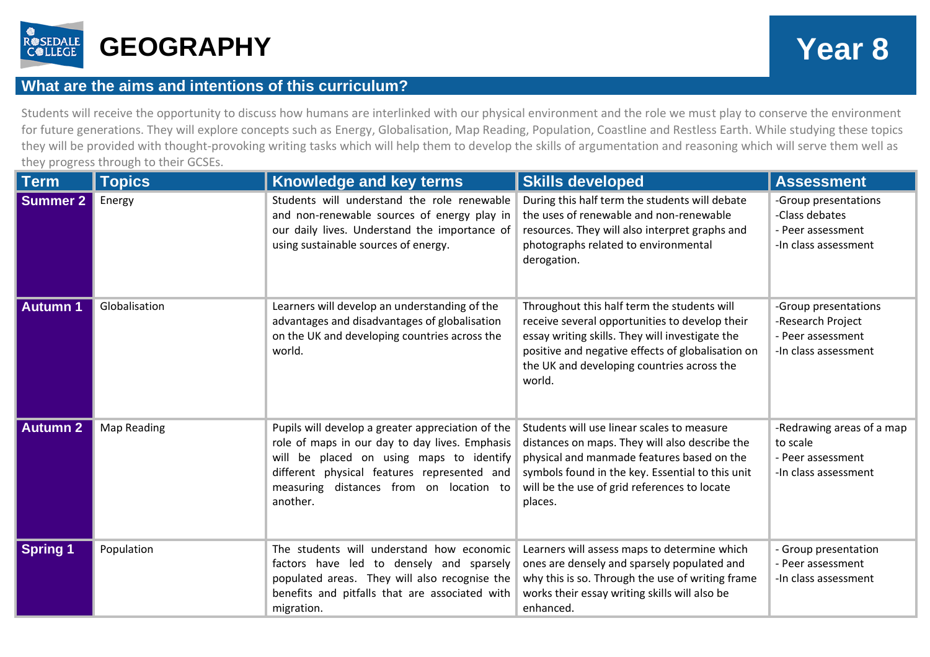

## **What are the aims and intentions of this curriculum?**

Students will receive the opportunity to discuss how humans are interlinked with our physical environment and the role we must play to conserve the environment for future generations. They will explore concepts such as Energy, Globalisation, Map Reading, Population, Coastline and Restless Earth. While studying these topics they will be provided with thought-provoking writing tasks which will help them to develop the skills of argumentation and reasoning which will serve them well as they progress through to their GCSEs.

| <b>Term</b>     | <b>Topics</b>      | Knowledge and key terms                                                                                                                                                                                                                               | <b>Skills developed</b>                                                                                                                                                                                                                                       | <b>Assessment</b>                                                                      |
|-----------------|--------------------|-------------------------------------------------------------------------------------------------------------------------------------------------------------------------------------------------------------------------------------------------------|---------------------------------------------------------------------------------------------------------------------------------------------------------------------------------------------------------------------------------------------------------------|----------------------------------------------------------------------------------------|
| <b>Summer 2</b> | Energy             | Students will understand the role renewable<br>and non-renewable sources of energy play in<br>our daily lives. Understand the importance of<br>using sustainable sources of energy.                                                                   | During this half term the students will debate<br>the uses of renewable and non-renewable<br>resources. They will also interpret graphs and<br>photographs related to environmental<br>derogation.                                                            | -Group presentations<br>-Class debates<br>- Peer assessment<br>-In class assessment    |
| <b>Autumn 1</b> | Globalisation      | Learners will develop an understanding of the<br>advantages and disadvantages of globalisation<br>on the UK and developing countries across the<br>world.                                                                                             | Throughout this half term the students will<br>receive several opportunities to develop their<br>essay writing skills. They will investigate the<br>positive and negative effects of globalisation on<br>the UK and developing countries across the<br>world. | -Group presentations<br>-Research Project<br>- Peer assessment<br>-In class assessment |
| <b>Autumn 2</b> | <b>Map Reading</b> | Pupils will develop a greater appreciation of the<br>role of maps in our day to day lives. Emphasis<br>will be placed on using maps to identify<br>different physical features represented and<br>measuring distances from on location to<br>another. | Students will use linear scales to measure<br>distances on maps. They will also describe the<br>physical and manmade features based on the<br>symbols found in the key. Essential to this unit<br>will be the use of grid references to locate<br>places.     | -Redrawing areas of a map<br>to scale<br>- Peer assessment<br>-In class assessment     |
| <b>Spring 1</b> | Population         | The students will understand how economic<br>factors have led to densely and sparsely<br>populated areas. They will also recognise the<br>benefits and pitfalls that are associated with<br>migration.                                                | Learners will assess maps to determine which<br>ones are densely and sparsely populated and<br>why this is so. Through the use of writing frame<br>works their essay writing skills will also be<br>enhanced.                                                 | - Group presentation<br>- Peer assessment<br>-In class assessment                      |